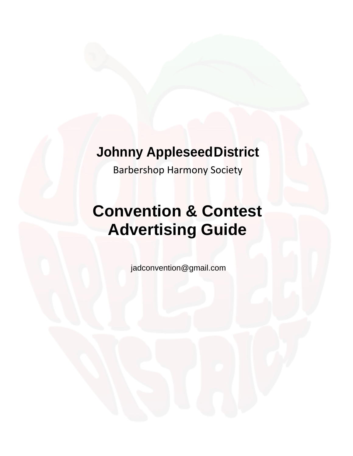## **Johnny Appleseed District**

Barbershop Harmony Society

# **Convention & Contest Advertising Guide**

jadconvention@gmail.com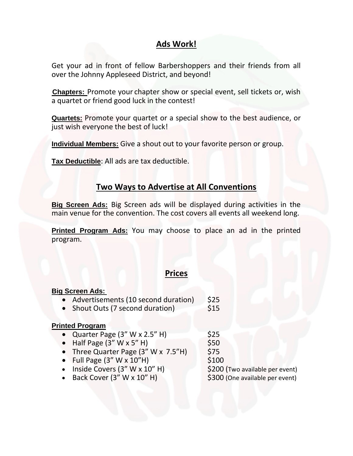## **Ads Work!**

Get your ad in front of fellow Barbershoppers and their friends from all over the Johnny Appleseed District, and beyond!

**Chapters:** Promote your chapter show or special event, sell tickets or, wish a quartet or friend good luck in the contest!

**Quartets:** Promote your quartet or a special show to the best audience, or just wish everyone the best of luck!

**Individual Members:** Give a shout out to your favorite person or group.

**Tax Deductible**: All ads are tax deductible.

## **Two Ways to Advertise at All Conventions**

**Big Screen Ads:** Big Screen ads will be displayed during activities in the main venue for the convention. The cost covers all events all weekend long.

**Printed Program Ads:** You may choose to place an ad in the printed program.

### **Prices**

| <b>Big Screen Ads:</b>                   |                                 |
|------------------------------------------|---------------------------------|
| • Advertisements (10 second duration)    | \$25                            |
| • Shout Outs (7 second duration)         | \$15                            |
|                                          |                                 |
| <b>Printed Program</b>                   |                                 |
| • Quarter Page $(3'' W x 2.5'' H)$       | \$25                            |
| • Half Page $(3'' W x 5'' H)$            | \$50                            |
| • Three Quarter Page $(3'' W x 7.5'' H)$ | \$75                            |
| • Full Page $(3'' W \times 10'' H)$      | \$100                           |
| • Inside Covers $(3'' W x 10'' H)$       | \$200 (Two available per event) |
| • Back Cover $(3'' W \times 10'' H)$     | \$300 (One available per event) |
|                                          |                                 |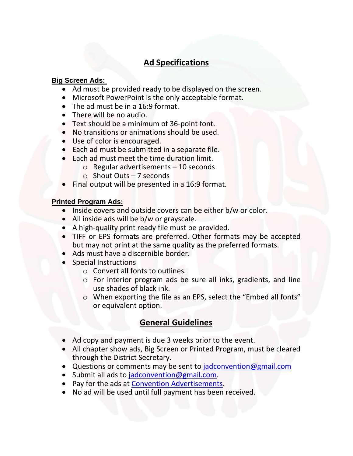## **Ad Specifications**

#### **Big Screen Ads:**

- Ad must be provided ready to be displayed on the screen.
- Microsoft PowerPoint is the only acceptable format.
- The ad must be in a 16:9 format.
- There will be no audio.
- Text should be a minimum of 36-point font.
- No transitions or animations should be used.
- Use of color is encouraged.
- Each ad must be submitted in a separate file.
- Each ad must meet the time duration limit.
	- $\circ$  Regular advertisements 10 seconds
	- o Shout Outs 7 seconds
- Final output will be presented in a 16:9 format.

#### **Printed Program Ads:**

- Inside covers and outside covers can be either b/w or color.
- All inside ads will be b/w or grayscale.
- A high-quality print ready file must be provided.
- TIFF or EPS formats are preferred. Other formats may be accepted but may not print at the same quality as the preferred formats.
- Ads must have a discernible border.
- Special Instructions
	- o Convert all fonts to outlines.
	- o For interior program ads be sure all inks, gradients, and line use shades of black ink.
	- o When exporting the file as an EPS, select the "Embed all fonts" or equivalent option.

## **General Guidelines**

- Ad copy and payment is due 3 weeks prior to the event.
- All chapter show ads, Big Screen or Printed Program, must be cleared through the District Secretary.
- Questions or comments may be sent to [jadconvention@gmail.com](mailto:jadconvention@gmail.com)
- Submit all ads to [jadconvention@gmail.com.](mailto:jadconvention@gmail.com)
- Pay for the ads at [Convention Advertisements.](https://checkout.square.site/buy/3ZSHRI74AHHPAS7ZUPAK55EP)
- No ad will be used until full payment has been received.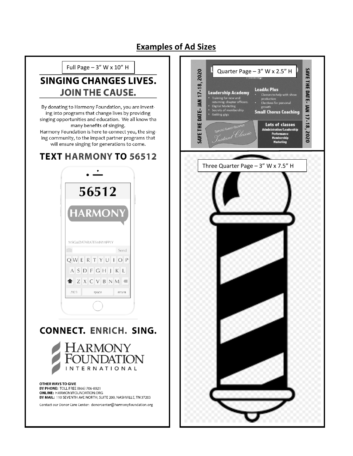## **Examples of Ad Sizes**



**BY PHONE: TOLL FREE (866) 706-8021 ONLINE: HARMONYFOUNDATION.ORG** BY MAIL: 110 SEVENTH AVE NORTH, SUITE 200, NASHVILLE, TN 37203

Contact our Donor Care Center: donorcenter@harmonyfoundation.org